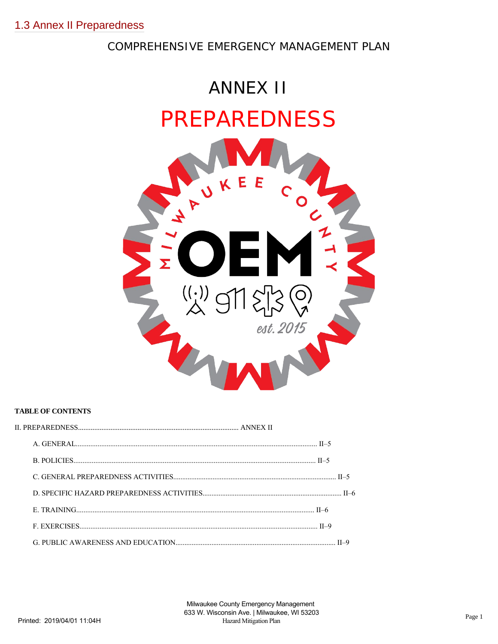# COMPREHENSIVE EMERGENCY MANAGEMENT PLAN



## **TABLE OF CONTENTS**

II.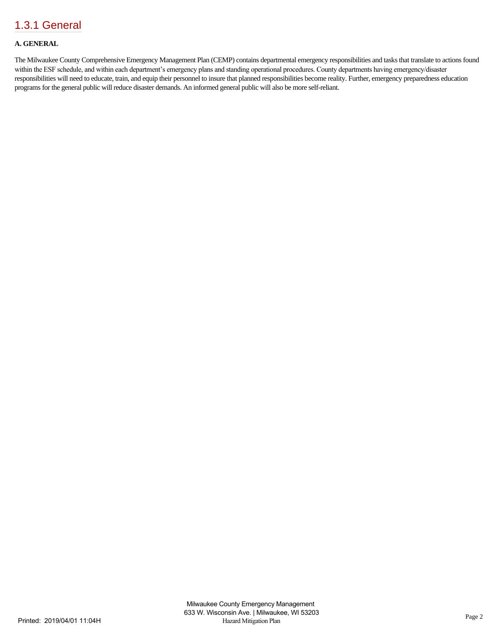## **A. GENERAL**

The Milwaukee County Comprehensive Emergency Management Plan (CEMP) contains departmental emergency responsibilities and tasks that translate to actions found within the ESF schedule, and within each department's emergency plans and standing operational procedures. County departments having emergency/disaster responsibilities will need to educate, train, and equip their personnel to insure that planned responsibilities become reality. Further, emergency preparedness education programs for the general public will reduce disaster demands. An informed general public will also be more self-reliant.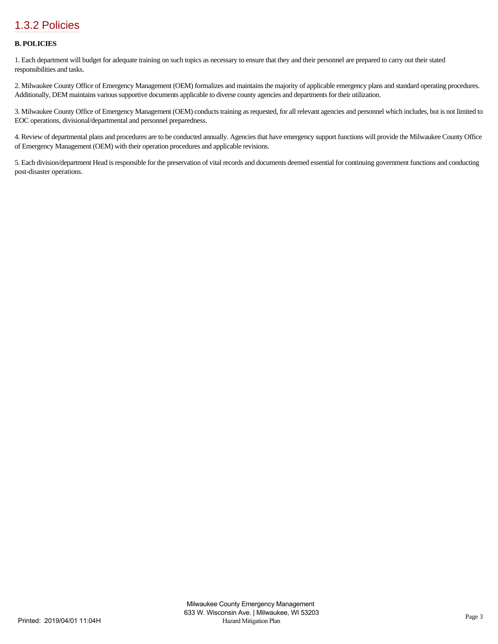## [1.3.2 Policies](https://milwaukeecounty.isc-cemp.com/Cemp/Details?id=5806786)

### **B. POLICIES**

1. Each department will budget for adequate training on such topics as necessary to ensure that they and their personnel are prepared to carry out their stated responsibilities and tasks.

2. Milwaukee County Office of Emergency Management (OEM) formalizes and maintains the majority of applicable emergency plans and standard operating procedures. Additionally, DEM maintains various supportive documents applicable to diverse county agencies and departments for their utilization.

3. Milwaukee County Office of Emergency Management (OEM) conducts training as requested, for all relevant agencies and personnel which includes, but is not limited to EOC operations, divisional/departmental and personnel preparedness.

4. Review of departmental plans and procedures are to be conducted annually. Agencies that have emergency support functions will provide the Milwaukee County Office of Emergency Management (OEM) with their operation procedures and applicable revisions.

5. Each division/department Head is responsible for the preservation of vital records and documents deemed essential for continuing government functions and conducting post-disaster operations.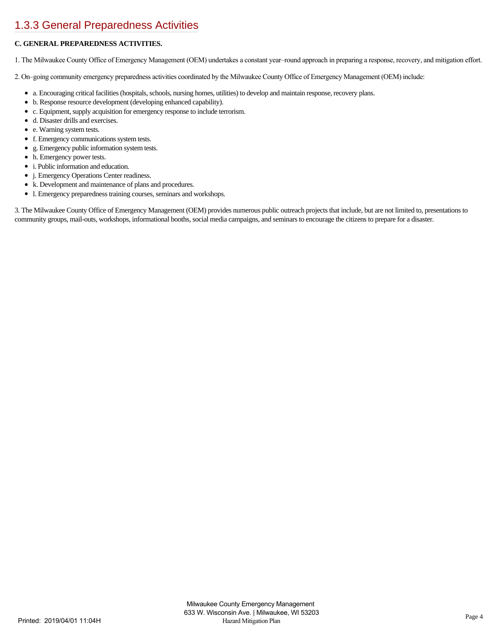# [1.3.3 General Preparedness Activities](https://milwaukeecounty.isc-cemp.com/Cemp/Details?id=5806788)

## **C. GENERAL PREPAREDNESS ACTIVITIES.**

1. The Milwaukee County Office of Emergency Management (OEM) undertakes a constant year–round approach in preparing a response, recovery, and mitigation effort.

2. On–going community emergency preparedness activities coordinated by the Milwaukee County Office of Emergency Management (OEM) include:

- a. Encouraging critical facilities (hospitals, schools, nursing homes, utilities) to develop and maintain response, recovery plans.
- b. Response resource development (developing enhanced capability).
- c. Equipment, supply acquisition for emergency response to include terrorism.
- d. Disaster drills and exercises.
- e. Warning system tests.
- f. Emergency communications system tests.
- $\bullet$ g. Emergency public information system tests.
- h. Emergency power tests.
- i. Public information and education.
- $\bullet$ j. Emergency Operations Center readiness.
- k. Development and maintenance of plans and procedures.
- l. Emergency preparedness training courses, seminars and workshops.

3. The Milwaukee County Office of Emergency Management (OEM) provides numerous public outreach projects that include, but are not limited to, presentations to community groups, mail-outs, workshops, informational booths, social media campaigns, and seminars to encourage the citizens to prepare for a disaster.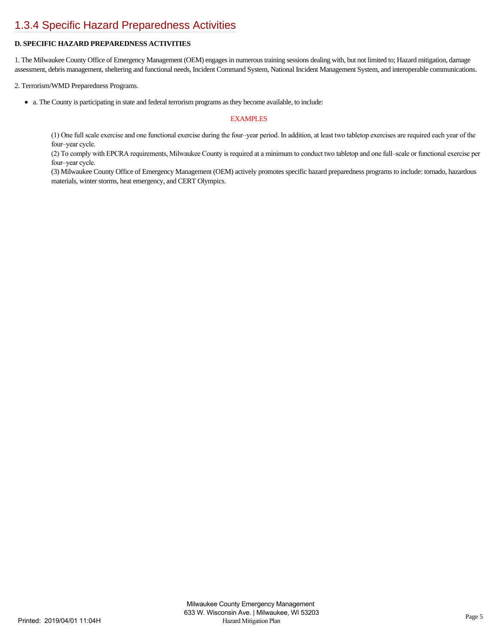## [1.3.4 Specific Hazard Preparedness Activities](https://milwaukeecounty.isc-cemp.com/Cemp/Details?id=5806790)

## **D. SPECIFIC HAZARD PREPAREDNESS ACTIVITIES**

1. The Milwaukee County Office of Emergency Management (OEM) engages in numerous training sessions dealing with, but not limited to; Hazard mitigation, damage assessment, debris management, sheltering and functional needs, Incident Command System, National Incident Management System, and interoperable communications.

2. Terrorism/WMD Preparedness Programs.

a. The County is participating in state and federal terrorism programs as they become available, to include:

#### **EXAMPLES**

(1) One full scale exercise and one functional exercise during the four–year period. In addition, at least two tabletop exercises are required each year of the four–year cycle.

(2) To comply with EPCRA requirements, Milwaukee County is required at a minimum to conduct two tabletop and one full–scale or functional exercise per four–year cycle.

(3) Milwaukee County Office of Emergency Management (OEM) actively promotes specific hazard preparedness programs to include: tornado, hazardous materials, winter storms, heat emergency, and CERT Olympics.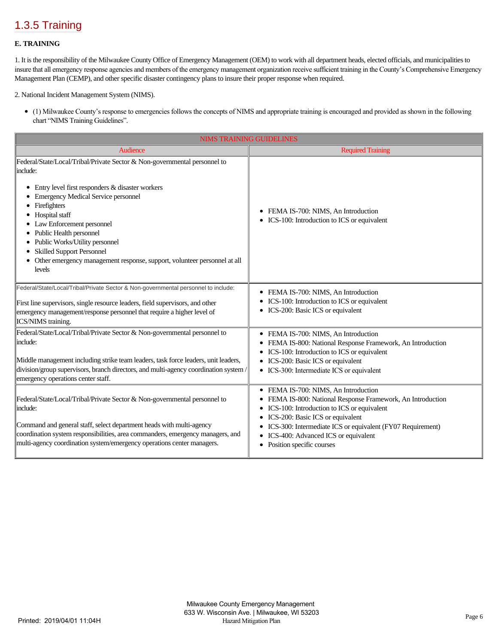## [1.3.5 Training](https://milwaukeecounty.isc-cemp.com/Cemp/Details?id=5806792)

### **E. TRAINING**

1. It is the responsibility of the Milwaukee County Office of Emergency Management (OEM) to work with all department heads, elected officials, and municipalities to insure that all emergency response agencies and members of the emergency management organization receive sufficient training in the County's Comprehensive Emergency Management Plan (CEMP), and other specific disaster contingency plans to insure their proper response when required.

2. National Incident Management System (NIMS).

(1) Milwaukee County's response to emergencies follows the concepts of NIMS and appropriate training is encouraged and provided as shown in the following chart "NIMS Training Guidelines".

| <b>NIMS TRAINING GUIDELINES</b>                                                                                                                                                                                                                                                                                                                                                                                                                        |                                                                                                                                                                                                                                                                                                                                                        |  |
|--------------------------------------------------------------------------------------------------------------------------------------------------------------------------------------------------------------------------------------------------------------------------------------------------------------------------------------------------------------------------------------------------------------------------------------------------------|--------------------------------------------------------------------------------------------------------------------------------------------------------------------------------------------------------------------------------------------------------------------------------------------------------------------------------------------------------|--|
| <b>Audience</b>                                                                                                                                                                                                                                                                                                                                                                                                                                        | <b>Required Training</b>                                                                                                                                                                                                                                                                                                                               |  |
| Federal/State/Local/Tribal/Private Sector & Non-governmental personnel to<br>include:<br>Entry level first responders & disaster workers<br>٠<br><b>Emergency Medical Service personnel</b><br>Firefighters<br>Hospital staff<br>Law Enforcement personnel<br>Public Health personnel<br>Public Works/Utility personnel<br><b>Skilled Support Personnel</b><br>Other emergency management response, support, volunteer personnel at all<br>٠<br>levels | FEMA IS-700: NIMS, An Introduction<br>٠<br>ICS-100: Introduction to ICS or equivalent<br>٠                                                                                                                                                                                                                                                             |  |
| Federal/State/Local/Tribal/Private Sector & Non-governmental personnel to include:<br>First line supervisors, single resource leaders, field supervisors, and other<br>emergency management/response personnel that require a higher level of<br>ICS/NIMS training.                                                                                                                                                                                    | FEMA IS-700: NIMS, An Introduction<br>٠<br>ICS-100: Introduction to ICS or equivalent<br>ICS-200: Basic ICS or equivalent<br>٠                                                                                                                                                                                                                         |  |
| Federal/State/Local/Tribal/Private Sector & Non-governmental personnel to<br>include:<br>Middle management including strike team leaders, task force leaders, unit leaders,<br>division/group supervisors, branch directors, and multi-agency coordination system /<br>emergency operations center staff.                                                                                                                                              | FEMA IS-700: NIMS, An Introduction<br>٠<br>FEMA IS-800: National Response Framework, An Introduction<br>٠<br>ICS-100: Introduction to ICS or equivalent<br>٠<br>ICS-200: Basic ICS or equivalent<br>• ICS-300: Intermediate ICS or equivalent                                                                                                          |  |
| Federal/State/Local/Tribal/Private Sector & Non-governmental personnel to<br>include:<br>Command and general staff, select department heads with multi-agency<br>coordination system responsibilities, area commanders, emergency managers, and<br>multi-agency coordination system/emergency operations center managers.                                                                                                                              | FEMA IS-700: NIMS, An Introduction<br>٠<br>FEMA IS-800: National Response Framework, An Introduction<br>٠<br>ICS-100: Introduction to ICS or equivalent<br>٠<br>ICS-200: Basic ICS or equivalent<br>٠<br>ICS-300: Intermediate ICS or equivalent (FY07 Requirement)<br>٠<br>ICS-400: Advanced ICS or equivalent<br>٠<br>Position specific courses<br>٠ |  |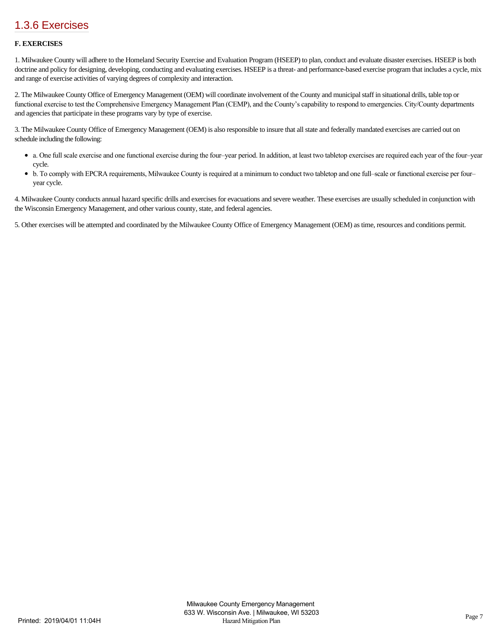## [1.3.6 Exercises](https://milwaukeecounty.isc-cemp.com/Cemp/Details?id=5806794)

### **F. EXERCISES**

1. Milwaukee County will adhere to the Homeland Security Exercise and Evaluation Program (HSEEP) to plan, conduct and evaluate disaster exercises. HSEEP is both doctrine and policy for designing, developing, conducting and evaluating exercises. HSEEP is a threat- and performance-based exercise program that includes a cycle, mix and range of exercise activities of varying degrees of complexity and interaction.

2. The Milwaukee County Office of Emergency Management (OEM) will coordinate involvement of the County and municipal staff in situational drills, table top or functional exercise to test the Comprehensive Emergency Management Plan (CEMP), and the County's capability to respond to emergencies. City/County departments and agencies that participate in these programs vary by type of exercise.

3. The Milwaukee County Office of Emergency Management (OEM) is also responsible to insure that all state and federally mandated exercises are carried out on schedule including the following:

- a. One full scale exercise and one functional exercise during the four–year period. In addition, at least two tabletop exercises are required each year of the four–year cycle.
- b. To comply with EPCRA requirements, Milwaukee County is required at a minimum to conduct two tabletop and one full–scale or functional exercise per four– year cycle.

4. Milwaukee County conducts annual hazard specific drills and exercises for evacuations and severe weather. These exercises are usually scheduled in conjunction with the Wisconsin Emergency Management, and other various county, state, and federal agencies.

5. Other exercises will be attempted and coordinated by the Milwaukee County Office of Emergency Management (OEM) as time, resources and conditions permit.